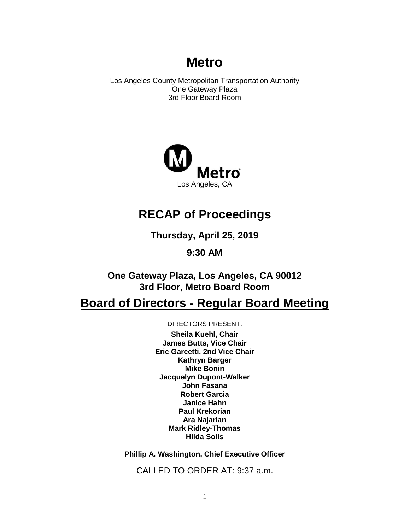# **Metro**

Los Angeles County Metropolitan Transportation Authority One Gateway Plaza 3rd Floor Board Room



# **RECAP of Proceedings**

**Thursday, April 25, 2019**

**9:30 AM**

**One Gateway Plaza, Los Angeles, CA 90012 3rd Floor, Metro Board Room**

# **Board of Directors - Regular Board Meeting**

DIRECTORS PRESENT:

**Sheila Kuehl, Chair James Butts, Vice Chair Eric Garcetti, 2nd Vice Chair Kathryn Barger Mike Bonin Jacquelyn Dupont-Walker John Fasana Robert Garcia Janice Hahn Paul Krekorian Ara Najarian Mark Ridley-Thomas Hilda Solis**

**Phillip A. Washington, Chief Executive Officer**

CALLED TO ORDER AT: 9:37 a.m.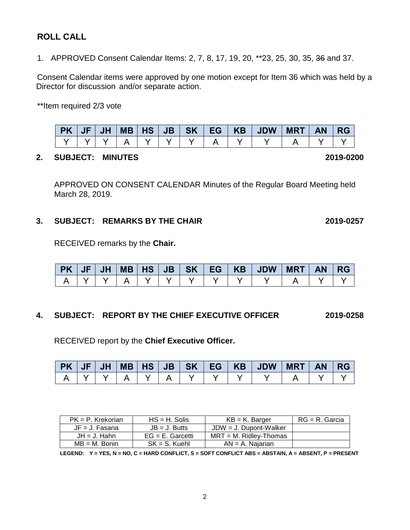RECEIVED report by the **Chief Executive Officer.** 

|  |  |  |  |  | PK JF JH MB HS JB SK EG KB JDW MRT AN RG |  |  |
|--|--|--|--|--|------------------------------------------|--|--|
|  |  |  |  |  |                                          |  |  |

|  | 3. SUBJECT: REMARKS BY THE CHAIR | 2019-0257 |
|--|----------------------------------|-----------|
|  |                                  |           |

RECEIVED remarks by the **Chair.**

|  |  |  |  | PK   JF   JH   MB   HS   JB   SK   EG   KB   JDW   MRT   AN   RG |  |  |
|--|--|--|--|------------------------------------------------------------------|--|--|
|  |  |  |  |                                                                  |  |  |

**4. SUBJECT: REPORT BY THE CHIEF EXECUTIVE OFFICER 2019-0258**

APPROVED ON CONSENT CALENDAR Minutes of the Regular Board Meeting held

**PK JF JH MB HS JB SK EG KB JDW MRT AN RG** Y Y Y A Y Y Y A Y Y A Y Y

Consent Calendar items were approved by one motion except for Item 36 which was held by a

Director for discussion and/or separate action.

1. APPROVED Consent Calendar Items: 2, 7, 8, 17, 19, 20, \*\*23, 25, 30, 35, 36 and 37.

\*\*Item required 2/3 vote

March 28, 2019.

| PK = P. Krekorian | $HS = H$ . Solis    | $KB = K$ . Barger         | RG = R. Garcia |
|-------------------|---------------------|---------------------------|----------------|
| $JF = J$ . Fasana | $JB = J.$ Butts     | $JDW = J$ . Dupont-Walker |                |
| $JH = J$ . Hahn   | $EG = E$ . Garcetti | $MRT = M$ . Ridlev-Thomas |                |
| $MB = M.$ Bonin   | $SK = S$ . Kuehl    | $AN = A$ . Najarian       |                |

**LEGEND: Y = YES, N = NO, C = HARD CONFLICT, S = SOFT CONFLICT ABS = ABSTAIN, A = ABSENT, P = PRESENT**

## **ROLL CALL**

**2. SUBJECT: MINUTES 2019-0200**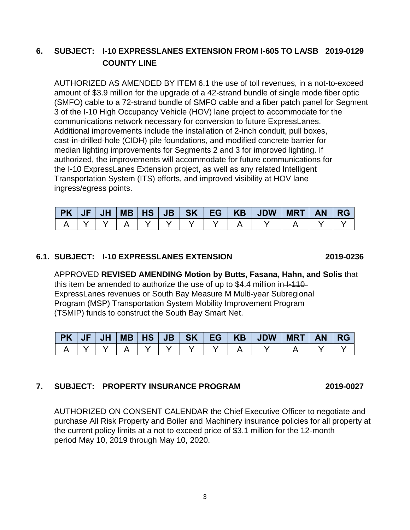## **6. SUBJECT: I-10 EXPRESSLANES EXTENSION FROM I-605 TO LA/SB 2019-0129 COUNTY LINE**

AUTHORIZED AS AMENDED BY ITEM 6.1 the use of toll revenues, in a not-to-exceed amount of \$3.9 million for the upgrade of a 42-strand bundle of single mode fiber optic (SMFO) cable to a 72-strand bundle of SMFO cable and a fiber patch panel for Segment 3 of the I-10 High Occupancy Vehicle (HOV) lane project to accommodate for the communications network necessary for conversion to future ExpressLanes. Additional improvements include the installation of 2-inch conduit, pull boxes, cast-in-drilled-hole (CIDH) pile foundations, and modified concrete barrier for median lighting improvements for Segments 2 and 3 for improved lighting. If authorized, the improvements will accommodate for future communications for the I-10 ExpressLanes Extension project, as well as any related Intelligent Transportation System (ITS) efforts, and improved visibility at HOV lane ingress/egress points.

| PK / | <b>JF</b> | <b>JH</b> | $MB$ $HS$ $JB$ |  |  | SK   EG   KB   JDW | <b>MRT</b> | <b>AN</b> | <b>RG</b> |
|------|-----------|-----------|----------------|--|--|--------------------|------------|-----------|-----------|
|      |           |           |                |  |  |                    |            |           |           |

#### **6.1. SUBJECT: I-10 EXPRESSLANES EXTENSION 2019-0236**

APPROVED **REVISED AMENDING Motion by Butts, Fasana, Hahn, and Solis** that this item be amended to authorize the use of up to  $$4.4$  million in  $+110-$ ExpressLanes revenues or South Bay Measure M Multi-year Subregional Program (MSP) Transportation System Mobility Improvement Program (TSMIP) funds to construct the South Bay Smart Net.

| <b>PK JF</b> | JH |  |  | $MB$ $HS$ $JB$ $SK$ $EG$ $KB$ | <b>JDW</b> | <b>MRT</b> | AN/ | I RG |
|--------------|----|--|--|-------------------------------|------------|------------|-----|------|
|              |    |  |  |                               |            |            |     |      |

## **7. SUBJECT: PROPERTY INSURANCE PROGRAM 2019-0027**

AUTHORIZED ON CONSENT CALENDAR the Chief Executive Officer to negotiate and purchase All Risk Property and Boiler and Machinery insurance policies for all property at the current policy limits at a not to exceed price of \$3.1 million for the 12-month period May 10, 2019 through May 10, 2020.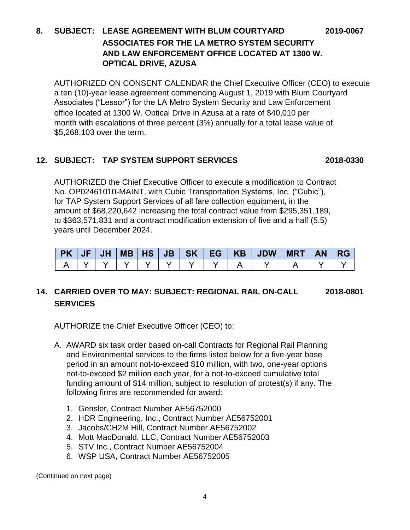## **8. SUBJECT: LEASE AGREEMENT WITH BLUM COURTYARD 2019-0067 ASSOCIATES FOR THE LA METRO SYSTEM SECURITY AND LAW ENFORCEMENT OFFICE LOCATED AT 1300 W. OPTICAL DRIVE, AZUSA**

AUTHORIZED ON CONSENT CALENDAR the Chief Executive Officer (CEO) to execute a ten (10)-year lease agreement commencing August 1, 2019 with Blum Courtyard Associates ("Lessor") for the LA Metro System Security and Law Enforcement office located at 1300 W. Optical Drive in Azusa at a rate of \$40,010 per month with escalations of three percent (3%) annually for a total lease value of \$5,268,103 over the term.

## **12. SUBJECT: TAP SYSTEM SUPPORT SERVICES 2018-0330**

AUTHORIZED the Chief Executive Officer to execute a modification to Contract No. OP02461010-MAINT, with Cubic Transportation Systems, Inc. ("Cubic"), for TAP System Support Services of all fare collection equipment, in the amount of \$68,220,642 increasing the total contract value from \$295,351,189, to \$363,571,831 and a contract modification extension of five and a half (5.5) years until December 2024.

|  |  |  |  | PK   JF   JH   MB   HS   JB   SK   EG   KB   JDW   MRT   AN   RG |  |  |
|--|--|--|--|------------------------------------------------------------------|--|--|
|  |  |  |  |                                                                  |  |  |

## **14. CARRIED OVER TO MAY: SUBJECT: REGIONAL RAIL ON-CALL 2018-0801 SERVICES**

AUTHORIZE the Chief Executive Officer (CEO) to:

- A. AWARD six task order based on-call Contracts for Regional Rail Planning and Environmental services to the firms listed below for a five-year base period in an amount not-to-exceed \$10 million, with two, one-year options not-to-exceed \$2 million each year, for a not-to-exceed cumulative total funding amount of \$14 million, subject to resolution of protest(s) if any. The following firms are recommended for award:
	- 1. Gensler, Contract Number AE56752000
	- 2. HDR Engineering, Inc., Contract Number AE56752001
	- 3. Jacobs/CH2M Hill, Contract Number AE56752002
	- 4. Mott MacDonald, LLC, Contract NumberAE56752003
	- 5. STV Inc., Contract Number AE56752004
	- 6. WSP USA, Contract Number AE56752005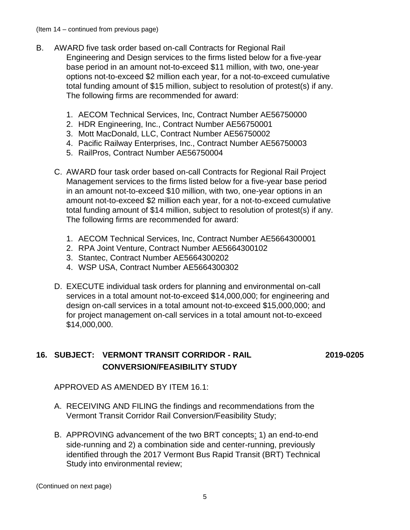- B. AWARD five task order based on-call Contracts for Regional Rail Engineering and Design services to the firms listed below for a five-year base period in an amount not-to-exceed \$11 million, with two, one-year options not-to-exceed \$2 million each year, for a not-to-exceed cumulative total funding amount of \$15 million, subject to resolution of protest(s) if any. The following firms are recommended for award:
	- 1. AECOM Technical Services, Inc, Contract Number AE56750000
	- 2. HDR Engineering, Inc., Contract Number AE56750001
	- 3. Mott MacDonald, LLC, Contract Number AE56750002
	- 4. Pacific Railway Enterprises, Inc., Contract Number AE56750003
	- 5. RailPros, Contract Number AE56750004
	- C. AWARD four task order based on-call Contracts for Regional Rail Project Management services to the firms listed below for a five-year base period in an amount not-to-exceed \$10 million, with two, one-year options in an amount not-to-exceed \$2 million each year, for a not-to-exceed cumulative total funding amount of \$14 million, subject to resolution of protest(s) if any. The following firms are recommended for award:
		- 1. AECOM Technical Services, Inc, Contract Number AE5664300001
		- 2. RPA Joint Venture, Contract Number AE5664300102
		- 3. Stantec, Contract Number AE5664300202
		- 4. WSP USA, Contract Number AE5664300302
	- D. EXECUTE individual task orders for planning and environmental on-call services in a total amount not-to-exceed \$14,000,000; for engineering and design on-call services in a total amount not-to-exceed \$15,000,000; and for project management on-call services in a total amount not-to-exceed \$14,000,000.

## **16. SUBJECT: VERMONT TRANSIT CORRIDOR - RAIL 2019-0205 CONVERSION/FEASIBILITY STUDY**

APPROVED AS AMENDED BY ITEM 16.1:

- A. RECEIVING AND FILING the findings and recommendations from the Vermont Transit Corridor Rail Conversion/Feasibility Study;
- B. APPROVING advancement of the two BRT concepts: 1) an end-to-end side-running and 2) a combination side and center-running, previously identified through the 2017 Vermont Bus Rapid Transit (BRT) Technical Study into environmental review;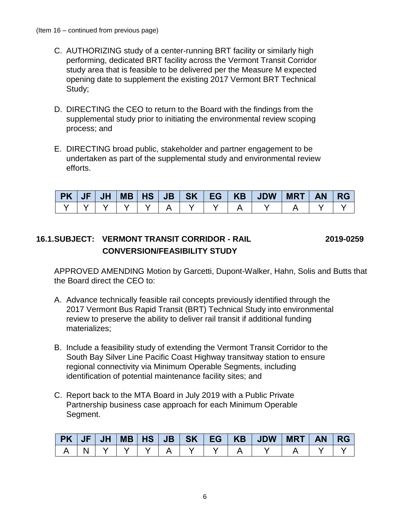- C. AUTHORIZING study of a center-running BRT facility or similarly high performing, dedicated BRT facility across the Vermont Transit Corridor study area that is feasible to be delivered per the Measure M expected opening date to supplement the existing 2017 Vermont BRT Technical Study;
- D. DIRECTING the CEO to return to the Board with the findings from the supplemental study prior to initiating the environmental review scoping process; and
- E. DIRECTING broad public, stakeholder and partner engagement to be undertaken as part of the supplemental study and environmental review efforts.

| PK JF | JH |  |  |  | MB HS JB SK EG KB JDW MRT AN RG |  |  |
|-------|----|--|--|--|---------------------------------|--|--|
|       |    |  |  |  |                                 |  |  |

## **16.1.SUBJECT: VERMONT TRANSIT CORRIDOR - RAIL 2019-0259 CONVERSION/FEASIBILITY STUDY**

APPROVED AMENDING Motion by Garcetti, Dupont-Walker, Hahn, Solis and Butts that the Board direct the CEO to:

- A. Advance technically feasible rail concepts previously identified through the 2017 Vermont Bus Rapid Transit (BRT) Technical Study into environmental review to preserve the ability to deliver rail transit if additional funding materializes;
- B. Include a feasibility study of extending the Vermont Transit Corridor to the South Bay Silver Line Pacific Coast Highway transitway station to ensure regional connectivity via Minimum Operable Segments, including identification of potential maintenance facility sites; and
- C. Report back to the MTA Board in July 2019 with a Public Private Partnership business case approach for each Minimum Operable Segment.

|  |  |  |  | PK   JF   JH   MB   HS   JB   SK   EG   KB   JDW | $MRT$ $AN$ $RG$ |  |
|--|--|--|--|--------------------------------------------------|-----------------|--|
|  |  |  |  |                                                  |                 |  |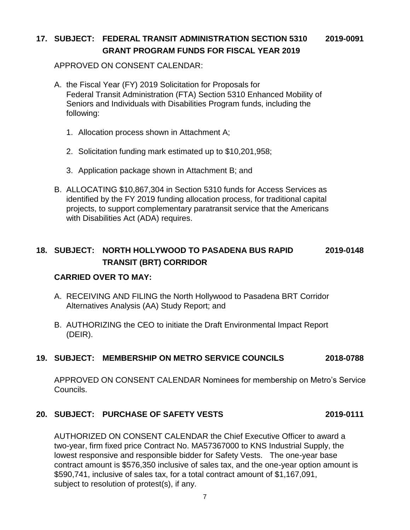## **17. SUBJECT: FEDERAL TRANSIT ADMINISTRATION SECTION 5310 2019-0091 GRANT PROGRAM FUNDS FOR FISCAL YEAR 2019**

APPROVED ON CONSENT CALENDAR:

- A. the Fiscal Year (FY) 2019 Solicitation for Proposals for Federal Transit Administration (FTA) Section 5310 Enhanced Mobility of Seniors and Individuals with Disabilities Program funds, including the following:
	- 1. Allocation process shown in Attachment A;
	- 2. Solicitation funding mark estimated up to \$10,201,958;
	- 3. Application package shown in Attachment B; and
- B. ALLOCATING \$10,867,304 in Section 5310 funds for Access Services as identified by the FY 2019 funding allocation process, for traditional capital projects, to support complementary paratransit service that the Americans with Disabilities Act (ADA) requires.

## **18. SUBJECT: NORTH HOLLYWOOD TO PASADENA BUS RAPID 2019-0148 TRANSIT (BRT) CORRIDOR**

## **CARRIED OVER TO MAY:**

- A. RECEIVING AND FILING the North Hollywood to Pasadena BRT Corridor Alternatives Analysis (AA) Study Report; and
- B. AUTHORIZING the CEO to initiate the Draft Environmental Impact Report (DEIR).

## **19. SUBJECT: MEMBERSHIP ON METRO SERVICE COUNCILS 2018-0788**

APPROVED ON CONSENT CALENDAR Nominees for membership on Metro's Service Councils.

## **20. SUBJECT: PURCHASE OF SAFETY VESTS 2019-0111**

AUTHORIZED ON CONSENT CALENDAR the Chief Executive Officer to award a two-year, firm fixed price Contract No. MA57367000 to KNS Industrial Supply, the lowest responsive and responsible bidder for Safety Vests. The one-year base contract amount is \$576,350 inclusive of sales tax, and the one-year option amount is \$590,741, inclusive of sales tax, for a total contract amount of \$1,167,091, subject to resolution of protest(s), if any.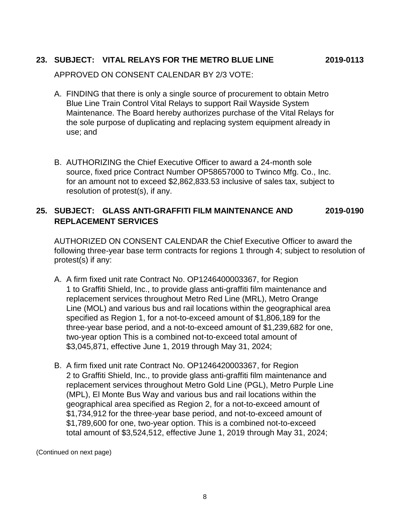## **23. SUBJECT: VITAL RELAYS FOR THE METRO BLUE LINE 2019-0113**

APPROVED ON CONSENT CALENDAR BY 2/3 VOTE:

- A. FINDING that there is only a single source of procurement to obtain Metro Blue Line Train Control Vital Relays to support Rail Wayside System Maintenance. The Board hereby authorizes purchase of the Vital Relays for the sole purpose of duplicating and replacing system equipment already in use; and
- B. AUTHORIZING the Chief Executive Officer to award a 24-month sole source, fixed price Contract Number OP58657000 to Twinco Mfg. Co., Inc. for an amount not to exceed \$2,862,833.53 inclusive of sales tax, subject to resolution of protest(s), if any.

## **25. SUBJECT: GLASS ANTI-GRAFFITI FILM MAINTENANCE AND 2019-0190 REPLACEMENT SERVICES**

AUTHORIZED ON CONSENT CALENDAR the Chief Executive Officer to award the following three-year base term contracts for regions 1 through 4; subject to resolution of protest(s) if any:

- A. A firm fixed unit rate Contract No. OP1246400003367, for Region 1 to Graffiti Shield, Inc., to provide glass anti-graffiti film maintenance and replacement services throughout Metro Red Line (MRL), Metro Orange Line (MOL) and various bus and rail locations within the geographical area specified as Region 1, for a not-to-exceed amount of \$1,806,189 for the three-year base period, and a not-to-exceed amount of \$1,239,682 for one, two-year option This is a combined not-to-exceed total amount of \$3,045,871, effective June 1, 2019 through May 31, 2024;
- B. A firm fixed unit rate Contract No. OP1246420003367, for Region 2 to Graffiti Shield, Inc., to provide glass anti-graffiti film maintenance and replacement services throughout Metro Gold Line (PGL), Metro Purple Line (MPL), El Monte Bus Way and various bus and rail locations within the geographical area specified as Region 2, for a not-to-exceed amount of \$1,734,912 for the three-year base period, and not-to-exceed amount of \$1,789,600 for one, two-year option. This is a combined not-to-exceed total amount of \$3,524,512, effective June 1, 2019 through May 31, 2024;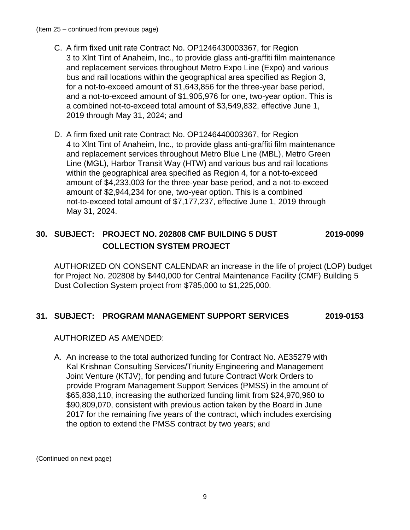- C. A firm fixed unit rate Contract No. OP1246430003367, for Region 3 to Xlnt Tint of Anaheim, Inc., to provide glass anti-graffiti film maintenance and replacement services throughout Metro Expo Line (Expo) and various bus and rail locations within the geographical area specified as Region 3, for a not-to-exceed amount of \$1,643,856 for the three-year base period, and a not-to-exceed amount of \$1,905,976 for one, two-year option. This is a combined not-to-exceed total amount of \$3,549,832, effective June 1, 2019 through May 31, 2024; and
- D. A firm fixed unit rate Contract No. OP1246440003367, for Region 4 to Xlnt Tint of Anaheim, Inc., to provide glass anti-graffiti film maintenance and replacement services throughout Metro Blue Line (MBL), Metro Green Line (MGL), Harbor Transit Way (HTW) and various bus and rail locations within the geographical area specified as Region 4, for a not-to-exceed amount of \$4,233,003 for the three-year base period, and a not-to-exceed amount of \$2,944,234 for one, two-year option. This is a combined not-to-exceed total amount of \$7,177,237, effective June 1, 2019 through May 31, 2024.

## **30. SUBJECT: PROJECT NO. 202808 CMF BUILDING 5 DUST 2019-0099 COLLECTION SYSTEM PROJECT**

AUTHORIZED ON CONSENT CALENDAR an increase in the life of project (LOP) budget for Project No. 202808 by \$440,000 for Central Maintenance Facility (CMF) Building 5 Dust Collection System project from \$785,000 to \$1,225,000.

## **31. SUBJECT: PROGRAM MANAGEMENT SUPPORT SERVICES 2019-0153**

AUTHORIZED AS AMENDED:

A. An increase to the total authorized funding for Contract No. AE35279 with Kal Krishnan Consulting Services/Triunity Engineering and Management Joint Venture (KTJV), for pending and future Contract Work Orders to provide Program Management Support Services (PMSS) in the amount of \$65,838,110, increasing the authorized funding limit from \$24,970,960 to \$90,809,070, consistent with previous action taken by the Board in June 2017 for the remaining five years of the contract, which includes exercising the option to extend the PMSS contract by two years; and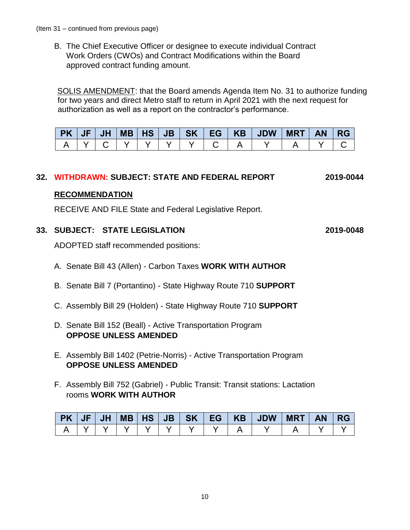B. The Chief Executive Officer or designee to execute individual Contract Work Orders (CWOs) and Contract Modifications within the Board approved contract funding amount.

 SOLIS AMENDMENT: that the Board amends Agenda Item No. 31 to authorize funding for two years and direct Metro staff to return in April 2021 with the next request for authorization as well as a report on the contractor's performance.

|  |  |  |  | PK   JF   JH   MB   HS   JB   SK   EG   KB   JDW   MRT   AN   RG |  |  |
|--|--|--|--|------------------------------------------------------------------|--|--|
|  |  |  |  | A   Y   C   Y   Y   Y   Y   C   A   Y   I                        |  |  |

## **32. WITHDRAWN: SUBJECT: STATE AND FEDERAL REPORT 2019-0044**

#### **RECOMMENDATION**

RECEIVE AND FILE State and Federal Legislative Report.

#### **33. SUBJECT: STATE LEGISLATION 2019-0048**

ADOPTED staff recommended positions:

- A. Senate Bill 43 (Allen) Carbon Taxes **WORK WITH AUTHOR**
- B. Senate Bill 7 (Portantino) State Highway Route 710 **SUPPORT**
- C. Assembly Bill 29 (Holden) State Highway Route 710 **SUPPORT**
- D. Senate Bill 152 (Beall) Active Transportation Program **OPPOSE UNLESS AMENDED**
- E. Assembly Bill 1402 (Petrie-Norris) Active Transportation Program **OPPOSE UNLESS AMENDED**
- F. Assembly Bill 752 (Gabriel) Public Transit: Transit stations: Lactation rooms **WORK WITH AUTHOR**

| $PK$ $JF$ | JH |  |  |  |  |  |
|-----------|----|--|--|--|--|--|
|           |    |  |  |  |  |  |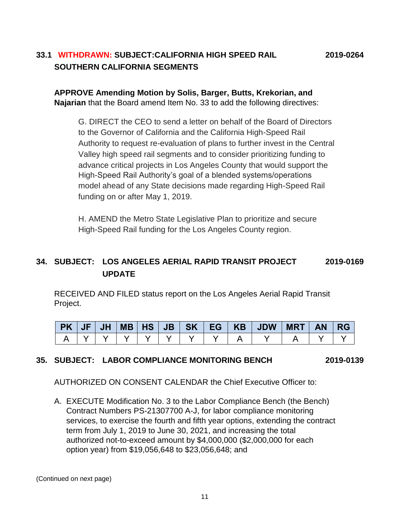## **33.1 WITHDRAWN: SUBJECT:CALIFORNIA HIGH SPEED RAIL 2019-0264 SOUTHERN CALIFORNIA SEGMENTS**

**APPROVE Amending Motion by Solis, Barger, Butts, Krekorian, and Najarian** that the Board amend Item No. 33 to add the following directives:

G. DIRECT the CEO to send a letter on behalf of the Board of Directors to the Governor of California and the California High-Speed Rail Authority to request re-evaluation of plans to further invest in the Central Valley high speed rail segments and to consider prioritizing funding to advance critical projects in Los Angeles County that would support the High-Speed Rail Authority's goal of a blended systems/operations model ahead of any State decisions made regarding High-Speed Rail funding on or after May 1, 2019.

H. AMEND the Metro State Legislative Plan to prioritize and secure High-Speed Rail funding for the Los Angeles County region.

## **34. SUBJECT: LOS ANGELES AERIAL RAPID TRANSIT PROJECT 2019-0169 UPDATE**

RECEIVED AND FILED status report on the Los Angeles Aerial Rapid Transit Project.

|  |  |  |  | PK   JF   JH   MB   HS   JB   SK   EG   KB   JDW   <i>'</i> | <b>MRT</b> | <b>AN</b> | <b>RG</b> |
|--|--|--|--|-------------------------------------------------------------|------------|-----------|-----------|
|  |  |  |  |                                                             |            |           |           |

#### **35. SUBJECT: LABOR COMPLIANCE MONITORING BENCH 2019-0139**

AUTHORIZED ON CONSENT CALENDAR the Chief Executive Officer to:

A. EXECUTE Modification No. 3 to the Labor Compliance Bench (the Bench) Contract Numbers PS-21307700 A-J, for labor compliance monitoring services, to exercise the fourth and fifth year options, extending the contract term from July 1, 2019 to June 30, 2021, and increasing the total authorized not-to-exceed amount by \$4,000,000 (\$2,000,000 for each option year) from \$19,056,648 to \$23,056,648; and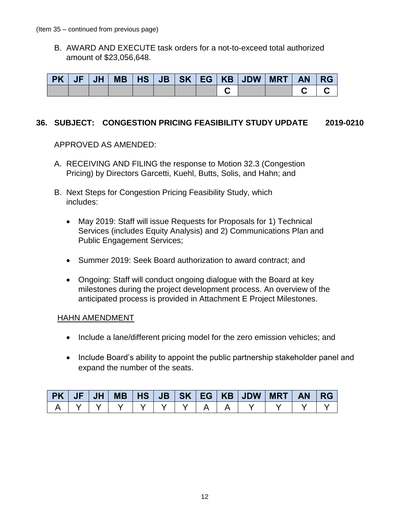B. AWARD AND EXECUTE task orders for a not-to-exceed total authorized amount of \$23,056,648.

|  |  |  |  | PK   JF   JH   MB   HS   JB   SK   EG   KB   JDW   MRT   AN   RG |  |  |
|--|--|--|--|------------------------------------------------------------------|--|--|
|  |  |  |  |                                                                  |  |  |

#### **36. SUBJECT: CONGESTION PRICING FEASIBILITY STUDY UPDATE 2019-0210**

APPROVED AS AMENDED:

- A. RECEIVING AND FILING the response to Motion 32.3 (Congestion Pricing) by Directors Garcetti, Kuehl, Butts, Solis, and Hahn; and
- B. Next Steps for Congestion Pricing Feasibility Study, which includes:
	- May 2019: Staff will issue Requests for Proposals for 1) Technical Services (includes Equity Analysis) and 2) Communications Plan and Public Engagement Services;
	- Summer 2019: Seek Board authorization to award contract; and
	- Ongoing: Staff will conduct ongoing dialogue with the Board at key milestones during the project development process. An overview of the anticipated process is provided in Attachment E Project Milestones.

#### HAHN AMENDMENT

- Include a lane/different pricing model for the zero emission vehicles; and
- Include Board's ability to appoint the public partnership stakeholder panel and expand the number of the seats.

|  |  |  |  | PK   JF   JH   MB   HS   JB   SK   EG   KB   JDW   MRT   AN   RG |  |  |
|--|--|--|--|------------------------------------------------------------------|--|--|
|  |  |  |  |                                                                  |  |  |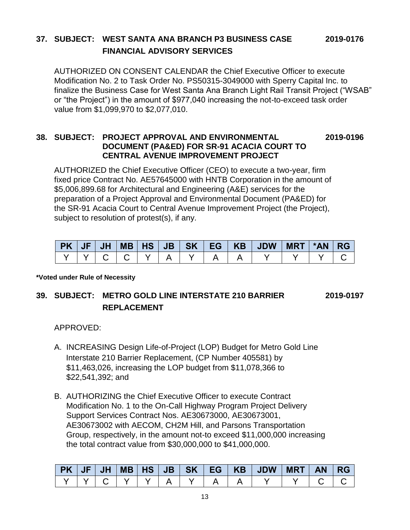## **37. SUBJECT: WEST SANTA ANA BRANCH P3 BUSINESS CASE 2019-0176 FINANCIAL ADVISORY SERVICES**

AUTHORIZED ON CONSENT CALENDAR the Chief Executive Officer to execute Modification No. 2 to Task Order No. PS50315-3049000 with Sperry Capital Inc. to finalize the Business Case for West Santa Ana Branch Light Rail Transit Project ("WSAB" or "the Project") in the amount of \$977,040 increasing the not-to-exceed task order value from \$1,099,970 to \$2,077,010.

#### **38. SUBJECT: PROJECT APPROVAL AND ENVIRONMENTAL 2019-0196 DOCUMENT (PA&ED) FOR SR-91 ACACIA COURT TO CENTRAL AVENUE IMPROVEMENT PROJECT**

AUTHORIZED the Chief Executive Officer (CEO) to execute a two-year, firm fixed price Contract No. AE57645000 with HNTB Corporation in the amount of \$5,006,899.68 for Architectural and Engineering (A&E) services for the preparation of a Project Approval and Environmental Document (PA&ED) for the SR-91 Acacia Court to Central Avenue Improvement Project (the Project), subject to resolution of protest(s), if any.

|  |  |  |  | PK   JF   JH   MB   HS   JB   SK   EG   KB   JDW   MRT   *AN   RG |  |  |
|--|--|--|--|-------------------------------------------------------------------|--|--|
|  |  |  |  |                                                                   |  |  |

**\*Voted under Rule of Necessity**

## **39. SUBJECT: METRO GOLD LINE INTERSTATE 210 BARRIER 2019-0197 REPLACEMENT**

APPROVED:

- A. INCREASING Design Life-of-Project (LOP) Budget for Metro Gold Line Interstate 210 Barrier Replacement, (CP Number 405581) by \$11,463,026, increasing the LOP budget from \$11,078,366 to \$22,541,392; and
- B. AUTHORIZING the Chief Executive Officer to execute Contract Modification No. 1 to the On-Call Highway Program Project Delivery Support Services Contract Nos. AE30673000, AE30673001, AE30673002 with AECOM, CH2M Hill, and Parsons Transportation Group, respectively, in the amount not-to exceed \$11,000,000 increasing the total contract value from \$30,000,000 to \$41,000,000.

|  |  |  |  | PK   JF   JH   MB   HS   JB   SK   EG   KB   JDW   MRT   AN   RG |  |  |
|--|--|--|--|------------------------------------------------------------------|--|--|
|  |  |  |  |                                                                  |  |  |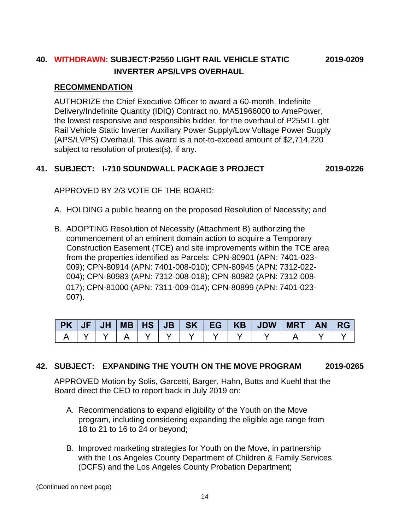## **40. WITHDRAWN: SUBJECT:P2550 LIGHT RAIL VEHICLE STATIC 2019-0209 INVERTER APS/LVPS OVERHAUL**

#### **RECOMMENDATION**

AUTHORIZE the Chief Executive Officer to award a 60-month, Indefinite Delivery/Indefinite Quantity (IDIQ) Contract no. MA51966000 to AmePower, the lowest responsive and responsible bidder, for the overhaul of P2550 Light Rail Vehicle Static Inverter Auxiliary Power Supply/Low Voltage Power Supply (APS/LVPS) Overhaul. This award is a not-to-exceed amount of \$2,714,220 subject to resolution of protest(s), if any.

## **41. SUBJECT: I-710 SOUNDWALL PACKAGE 3 PROJECT 2019-0226**

APPROVED BY 2/3 VOTE OF THE BOARD:

- A. HOLDING a public hearing on the proposed Resolution of Necessity; and
- B. ADOPTING Resolution of Necessity (Attachment B) authorizing the commencement of an eminent domain action to acquire a Temporary Construction Easement (TCE) and site improvements within the TCE area from the properties identified as Parcels: CPN-80901 (APN: 7401-023- 009); CPN-80914 (APN: 7401-008-010); CPN-80945 (APN: 7312-022- 004); CPN-80983 (APN: 7312-008-018); CPN-80982 (APN: 7312-008- 017); CPN-81000 (APN: 7311-009-014); CPN-80899 (APN: 7401-023- 007).

|  |  |  |                   | PK   JF   JH   MB   HS   JB   SK   EG   KB   JDW   MRT   AN   RG |  |  |
|--|--|--|-------------------|------------------------------------------------------------------|--|--|
|  |  |  | IYIYIA IYIYIYIYIN |                                                                  |  |  |

## **42. SUBJECT: EXPANDING THE YOUTH ON THE MOVE PROGRAM 2019-0265**

APPROVED Motion by Solis, Garcetti, Barger, Hahn, Butts and Kuehl that the Board direct the CEO to report back in July 2019 on:

- A. Recommendations to expand eligibility of the Youth on the Move program, including considering expanding the eligible age range from 18 to 21 to 16 to 24 or beyond;
- B. Improved marketing strategies for Youth on the Move, in partnership with the Los Angeles County Department of Children & Family Services (DCFS) and the Los Angeles County Probation Department;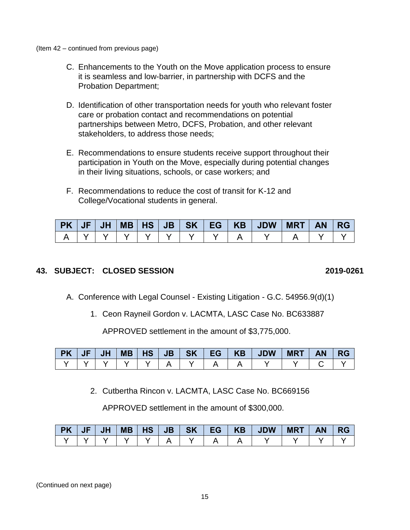(Item 42 – continued from previous page)

- C. Enhancements to the Youth on the Move application process to ensure it is seamless and low-barrier, in partnership with DCFS and the Probation Department;
- D. Identification of other transportation needs for youth who relevant foster care or probation contact and recommendations on potential partnerships between Metro, DCFS, Probation, and other relevant stakeholders, to address those needs;
- E. Recommendations to ensure students receive support throughout their participation in Youth on the Move, especially during potential changes in their living situations, schools, or case workers; and
- F. Recommendations to reduce the cost of transit for K-12 and College/Vocational students in general.

|  |  |  |  | $PK$   JF   JH   MB   HS   JB   SK   EG   KB   JDW   MRT   AN   RG |  |  |
|--|--|--|--|--------------------------------------------------------------------|--|--|
|  |  |  |  |                                                                    |  |  |

#### **43. SUBJECT: CLOSED SESSION 2019-0261**

- A. Conference with Legal Counsel Existing Litigation G.C. 54956.9(d)(1)
	- 1. Ceon Rayneil Gordon v. LACMTA, LASC Case No. BC633887

APPROVED settlement in the amount of \$3,775,000.

| PK JF/ | JH |  |  |  | MB   HS   JB   SK   EG   KB   JDW | MRT | AN/ | I RG |
|--------|----|--|--|--|-----------------------------------|-----|-----|------|
|        |    |  |  |  |                                   |     |     |      |

2. Cutbertha Rincon v. LACMTA, LASC Case No. BC669156

APPROVED settlement in the amount of \$300,000.

| <b>PK</b> | JF | <b>JH</b> | <b>MB</b> | <b>HS</b> | <b>JB</b> | <b>SK</b> | <b>LEG</b> | <b>KB</b> | <b>JDW</b> | <b>MRT</b> | <b>AN</b> | <b>RG</b> |
|-----------|----|-----------|-----------|-----------|-----------|-----------|------------|-----------|------------|------------|-----------|-----------|
|           |    |           |           |           |           |           |            |           |            |            |           |           |